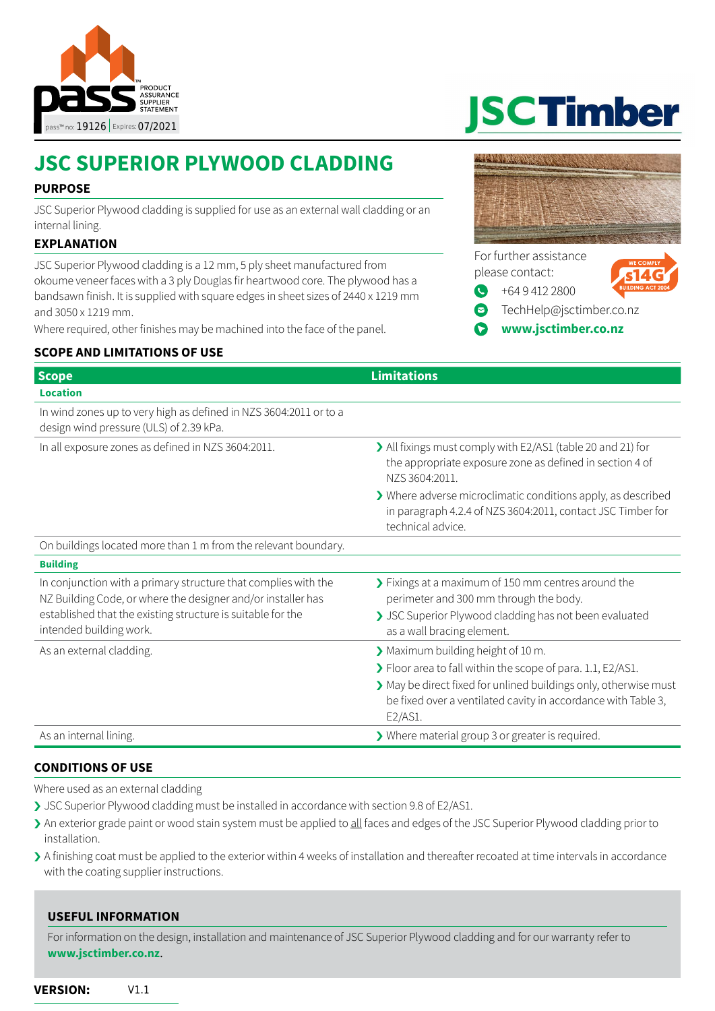

# **JSC SUPERIOR PLYWOOD CLADDING**

# **PURPOSE**

JSC Superior Plywood cladding is supplied for use as an external wall cladding or an internal lining.

# **EXPLANATION**

JSC Superior Plywood cladding is a 12 mm, 5 ply sheet manufactured from okoume veneer faces with a 3 ply Douglas fir heartwood core. The plywood has a bandsawn finish. It is supplied with square edges in sheet sizes of 2440 x 1219 mm and 3050 x 1219 mm.

Where required, other finishes may be machined into the face of the panel.

# **SCOPE AND LIMITATIONS OF USE**

**JSCTimber** 



[+64 9 412 2800](Tel://+6494122800)

- [TechHelp@jsctimber.co.nz](mailto:TechHelp%40jsctimber.co.nz?subject=Enquiry%20from%20pass%20about%20JSC%20Timber%20Lunawood%20Weatherboard)
- **[www.jsctimber.co.nz](http://www.jsctimber.co.nz)**

| <b>Scope</b>                                                                                                                                                                                                             | <b>Limitations</b>                                                                                                                                                                                                                              |
|--------------------------------------------------------------------------------------------------------------------------------------------------------------------------------------------------------------------------|-------------------------------------------------------------------------------------------------------------------------------------------------------------------------------------------------------------------------------------------------|
| <b>Location</b>                                                                                                                                                                                                          |                                                                                                                                                                                                                                                 |
| In wind zones up to very high as defined in NZS 3604:2011 or to a<br>design wind pressure (ULS) of 2.39 kPa.                                                                                                             |                                                                                                                                                                                                                                                 |
| In all exposure zones as defined in NZS 3604:2011.                                                                                                                                                                       | > All fixings must comply with E2/AS1 (table 20 and 21) for<br>the appropriate exposure zone as defined in section 4 of<br>NZS 3604:2011.                                                                                                       |
|                                                                                                                                                                                                                          | > Where adverse microclimatic conditions apply, as described<br>in paragraph 4.2.4 of NZS 3604:2011, contact JSC Timber for<br>technical advice.                                                                                                |
| On buildings located more than 1 m from the relevant boundary.                                                                                                                                                           |                                                                                                                                                                                                                                                 |
| <b>Building</b>                                                                                                                                                                                                          |                                                                                                                                                                                                                                                 |
| In conjunction with a primary structure that complies with the<br>NZ Building Code, or where the designer and/or installer has<br>established that the existing structure is suitable for the<br>intended building work. | > Fixings at a maximum of 150 mm centres around the<br>perimeter and 300 mm through the body.<br>> JSC Superior Plywood cladding has not been evaluated<br>as a wall bracing element.                                                           |
| As an external cladding.                                                                                                                                                                                                 | Maximum building height of 10 m.<br>> Floor area to fall within the scope of para. 1.1, E2/AS1.<br>> May be direct fixed for unlined buildings only, otherwise must<br>be fixed over a ventilated cavity in accordance with Table 3,<br>E2/AS1. |
| As an internal lining.                                                                                                                                                                                                   | > Where material group 3 or greater is required.                                                                                                                                                                                                |

#### **CONDITIONS OF USE**

Where used as an external cladding

- › JSC Superior Plywood cladding must be installed in accordance with section 9.8 of E2/AS1.
- In exterior grade paint or wood stain system must be applied to all faces and edges of the JSC Superior Plywood cladding prior to installation.
- › A finishing coat must be applied to the exterior within 4 weeks of installation and thereafter recoated at time intervals in accordance with the coating supplier instructions.

# **USEFUL INFORMATION**

For information on the design, installation and maintenance of JSC Superior Plywood cladding and for our warranty refer to **[www.jsctimber.co.nz](http://www.jsctimber.co.nz)**.